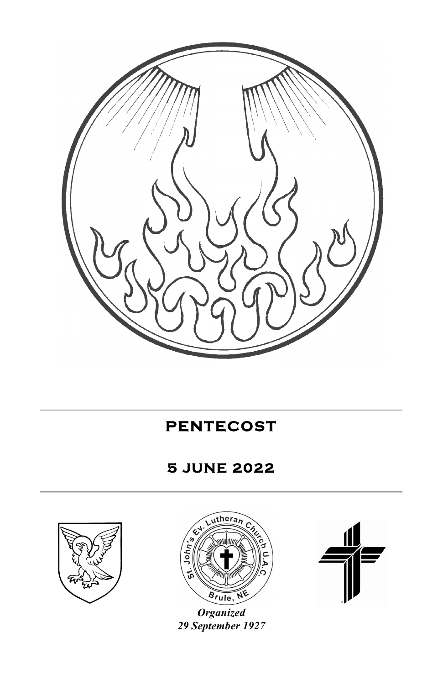

**PENTECOST** 

# **5 JUNE 2022**





*Organized 29 September 1927*

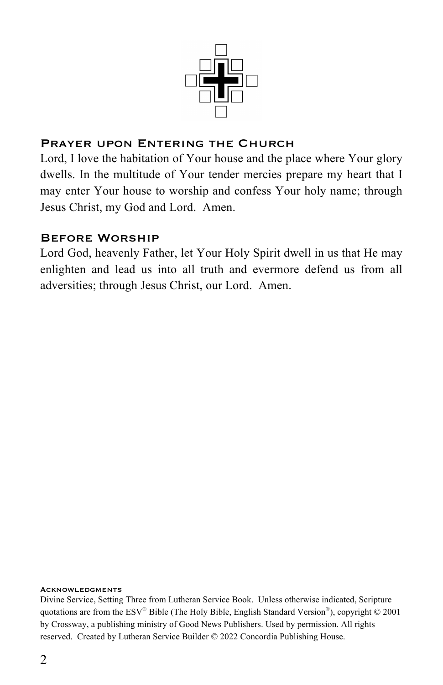

### PRAYER UPON ENTERING THE CHURCH

Lord, I love the habitation of Your house and the place where Your glory dwells. In the multitude of Your tender mercies prepare my heart that I may enter Your house to worship and confess Your holy name; through Jesus Christ, my God and Lord. Amen.

#### Before Worship

Lord God, heavenly Father, let Your Holy Spirit dwell in us that He may enlighten and lead us into all truth and evermore defend us from all adversities; through Jesus Christ, our Lord. Amen.

#### Acknowledgments

Divine Service, Setting Three from Lutheran Service Book. Unless otherwise indicated, Scripture quotations are from the  $ESV^*$  Bible (The Holy Bible, English Standard Version<sup>®</sup>), copyright © 2001 by Crossway, a publishing ministry of Good News Publishers. Used by permission. All rights reserved. Created by Lutheran Service Builder © 2022 Concordia Publishing House.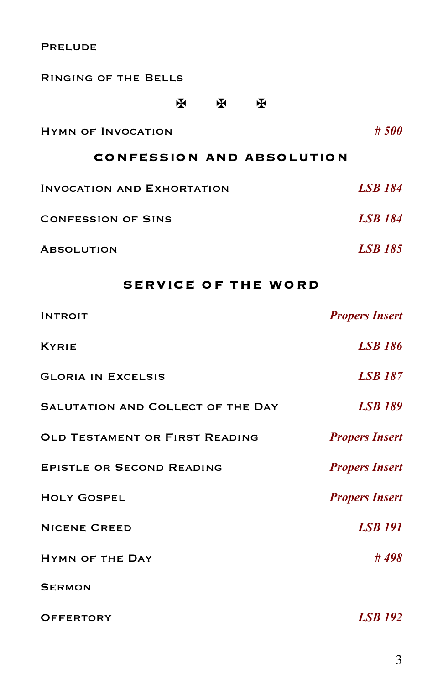**PRELUDE** 

| <b>RINGING OF THE BELLS</b>       |   |   |                |                |
|-----------------------------------|---|---|----------------|----------------|
|                                   | ж | ж | ж              |                |
| <b>HYMN OF INVOCATION</b>         |   |   |                | #500           |
| <b>CONFESSION AND ABSOLUTION</b>  |   |   |                |                |
| <b>INVOCATION AND EXHORTATION</b> |   |   | <b>LSB 184</b> |                |
| <b>CONFESSION OF SINS</b>         |   |   |                | <b>LSB</b> 184 |
| <b>ABSOLUTION</b>                 |   |   |                | <b>LSB</b> 185 |

## **SERVICE OF THE WORD**

| <b>INTROIT</b>                    | <b>Propers Insert</b> |
|-----------------------------------|-----------------------|
| <b>KYRIE</b>                      | <b>LSB 186</b>        |
| <b>GLORIA IN EXCELSIS</b>         | <b>LSB 187</b>        |
| SALUTATION AND COLLECT OF THE DAY | <b>LSB 189</b>        |
| OLD TESTAMENT OR FIRST READING    | <b>Propers Insert</b> |
| <b>EPISTLE OR SECOND READING</b>  | <b>Propers Insert</b> |
| <b>HOLY GOSPEL</b>                | <b>Propers Insert</b> |
| <b>NICENE CREED</b>               | <b>LSB 191</b>        |
| <b>HYMN OF THE DAY</b>            | #498                  |
| <b>SERMON</b>                     |                       |
| <b>OFFERTORY</b>                  | <b>LSB</b> 192        |